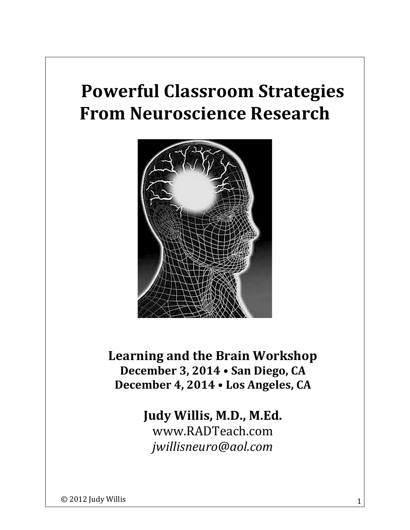# **Powerful Classroom Strategies From Neuroscience Research**



Learning and the Brain Workshop December 3, 2014 . San Diego, CA December 4, 2014 . Los Angeles, CA

# Judy Willis, M.D., M.Ed. www.RADTeach.com *jwillisneuro@aol.com*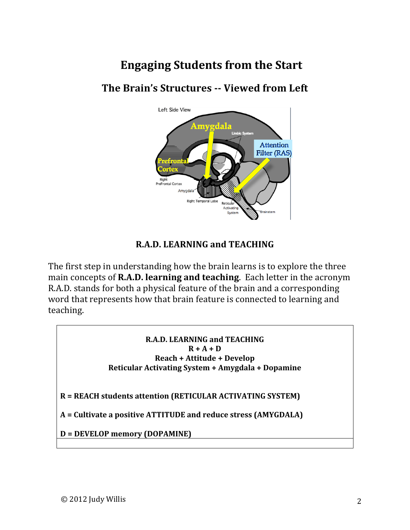# **Engaging Students from the Start**

# **The Brain's Structures -- Viewed from Left**



#### **R.A.D. LEARNING and TEACHING**

The first step in understanding how the brain learns is to explore the three main concepts of **R.A.D. learning and teaching**. Each letter in the acronym R.A.D. stands for both a physical feature of the brain and a corresponding word that represents how that brain feature is connected to learning and teaching.

#### **R.A.D. LEARNING and TEACHING**  $R + A + D$ **Reach + Attitude + Develop Reticular Activating System + Amygdala + Dopamine**

**R** = REACH students attention (RETICULAR ACTIVATING SYSTEM)

A = Cultivate a positive ATTITUDE and reduce stress (AMYGDALA)

**D** = DEVELOP memory (DOPAMINE)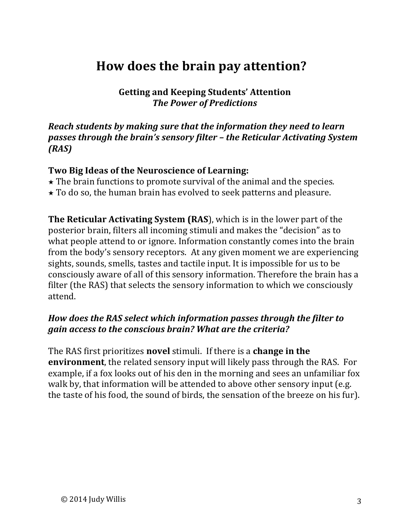# **How does the brain pay attention?**

**Getting and Keeping Students' Attention The Power of Predictions** 

#### *Reach students by making sure that the information they need to learn passes through the brain's sensory filter* – *the Reticular Activating System (RAS)*

#### Two Big Ideas of the Neuroscience of Learning:

- $\star$  The brain functions to promote survival of the animal and the species.
- $\star$  To do so, the human brain has evolved to seek patterns and pleasure.

**The Reticular Activating System (RAS)**, which is in the lower part of the posterior brain, filters all incoming stimuli and makes the "decision" as to what people attend to or ignore. Information constantly comes into the brain from the body's sensory receptors. At any given moment we are experiencing sights, sounds, smells, tastes and tactile input. It is impossible for us to be consciously aware of all of this sensory information. Therefore the brain has a filter (the RAS) that selects the sensory information to which we consciously attend. 

#### *How does the RAS select which information passes through the filter to gain access to the conscious brain?* What are the criteria?

The RAS first prioritizes **novel** stimuli. If there is a **change in the environment**, the related sensory input will likely pass through the RAS. For example, if a fox looks out of his den in the morning and sees an unfamiliar fox walk by, that information will be attended to above other sensory input (e.g. the taste of his food, the sound of birds, the sensation of the breeze on his fur).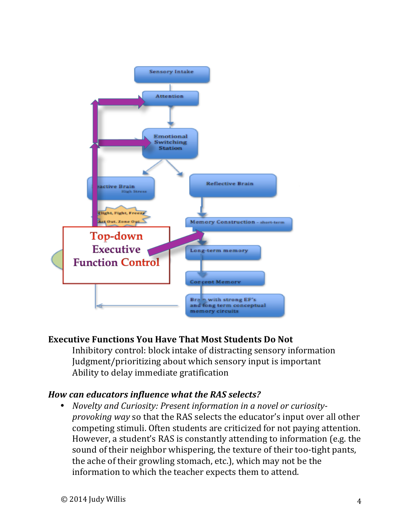

## **Executive Functions You Have That Most Students Do Not**

Inhibitory control: block intake of distracting sensory information Judgment/prioritizing about which sensory input is important Ability to delay immediate gratification

## How can educators influence what the RAS selects?

• *Novelty and Curiosity: Present information in a novel or curiosityprovoking* way so that the RAS selects the educator's input over all other competing stimuli. Often students are criticized for not paying attention. However, a student's RAS is constantly attending to information (e.g. the sound of their neighbor whispering, the texture of their too-tight pants, the ache of their growling stomach, etc.), which may not be the information to which the teacher expects them to attend.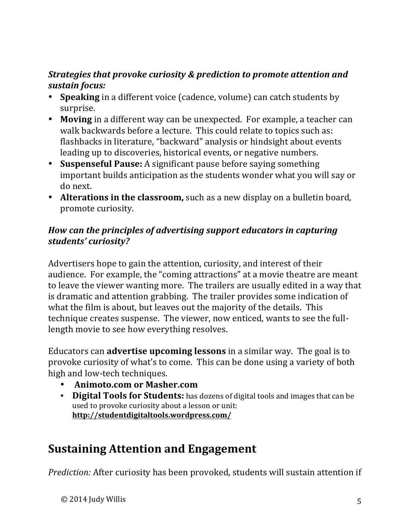## *Strategies that provoke curiosity & prediction to promote attention and sustain focus:*

- **Speaking** in a different voice (cadence, volume) can catch students by surprise.
- Moving in a different way can be unexpected. For example, a teacher can walk backwards before a lecture. This could relate to topics such as: flashbacks in literature, "backward" analysis or hindsight about events leading up to discoveries, historical events, or negative numbers.
- **Suspenseful Pause:** A significant pause before saying something important builds anticipation as the students wonder what you will say or do next.
- Alterations in the classroom, such as a new display on a bulletin board, promote curiosity.

#### How can the principles of advertising support educators in capturing *students' curiosity?*

Advertisers hope to gain the attention, curiosity, and interest of their audience. For example, the "coming attractions" at a movie theatre are meant to leave the viewer wanting more. The trailers are usually edited in a way that is dramatic and attention grabbing. The trailer provides some indication of what the film is about, but leaves out the majority of the details. This technique creates suspense. The viewer, now enticed, wants to see the fulllength movie to see how everything resolves.

Educators can **advertise upcoming lessons** in a similar way. The goal is to provoke curiosity of what's to come. This can be done using a variety of both high and low-tech techniques.

- **Animoto.com or Masher.com**
- Digital Tools for Students: has dozens of digital tools and images that can be used to provoke curiosity about a lesson or unit: **http://studentdigitaltools.wordpress.com/**

# **Sustaining Attention and Engagement**

*Prediction:* After curiosity has been provoked, students will sustain attention if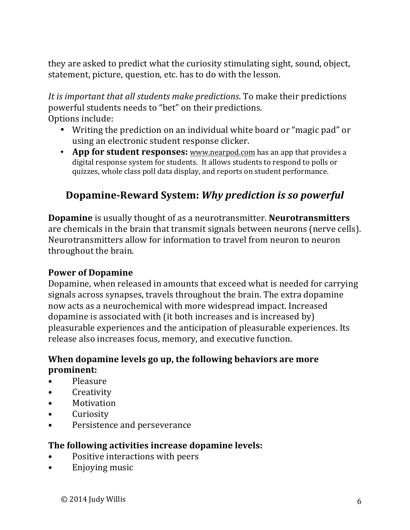they are asked to predict what the curiosity stimulating sight, sound, object, statement, picture, question, etc. has to do with the lesson.

It is important that all students make predictions. To make their predictions powerful students needs to "bet" on their predictions. Options include:

- Writing the prediction on an individual white board or "magic pad" or using an electronic student response clicker.
- App for student responses: www.nearpod.com has an app that provides a digital response system for students. It allows students to respond to polls or quizzes, whole class poll data display, and reports on student performance.

# **Dopamine-Reward System:** Why prediction is so powerful

**Dopamine** is usually thought of as a neurotransmitter. **Neurotransmitters** are chemicals in the brain that transmit signals between neurons (nerve cells). Neurotransmitters allow for information to travel from neuron to neuron throughout the brain.

#### **Power of Dopamine**

Dopamine, when released in amounts that exceed what is needed for carrying signals across synapses, travels throughout the brain. The extra dopamine now acts as a neurochemical with more widespread impact. Increased dopamine is associated with  $(it$  both increases and is increased by) pleasurable experiences and the anticipation of pleasurable experiences. Its release also increases focus, memory, and executive function.

#### **When dopamine levels go up, the following behaviors are more prominent:**

- Pleasure
- Creativity
- Motivation
- Curiosity
- Persistence and perseverance

#### **The following activities increase dopamine levels:**

- Positive interactions with peers
- Enjoving music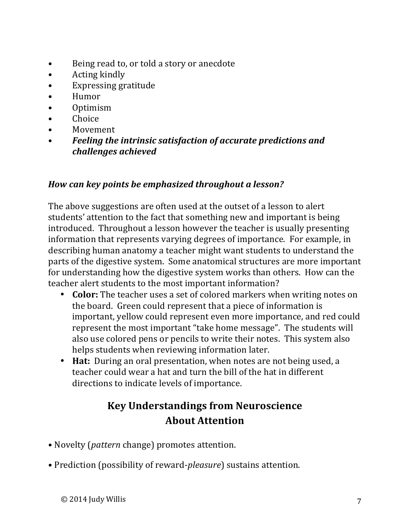- Being read to, or told a story or anecdote
- $\bullet$  Acting kindly
- Expressing gratitude
- Humor
- Optimism
- Choice
- **Movement**
- Feeling the intrinsic satisfaction of accurate predictions and *challenges achieved*

## How can key points be emphasized throughout a lesson?

The above suggestions are often used at the outset of a lesson to alert students' attention to the fact that something new and important is being introduced. Throughout a lesson however the teacher is usually presenting information that represents varying degrees of importance. For example, in describing human anatomy a teacher might want students to understand the parts of the digestive system. Some anatomical structures are more important for understanding how the digestive system works than others. How can the teacher alert students to the most important information?

- Color: The teacher uses a set of colored markers when writing notes on the board. Green could represent that a piece of information is important, yellow could represent even more importance, and red could represent the most important "take home message". The students will also use colored pens or pencils to write their notes. This system also helps students when reviewing information later.
- **Hat:** During an oral presentation, when notes are not being used, a teacher could wear a hat and turn the bill of the hat in different directions to indicate levels of importance.

# **Key Understandings from Neuroscience About Attention**

- Novelty (*pattern* change) promotes attention.
- Prediction (possibility of reward-*pleasure*) sustains attention.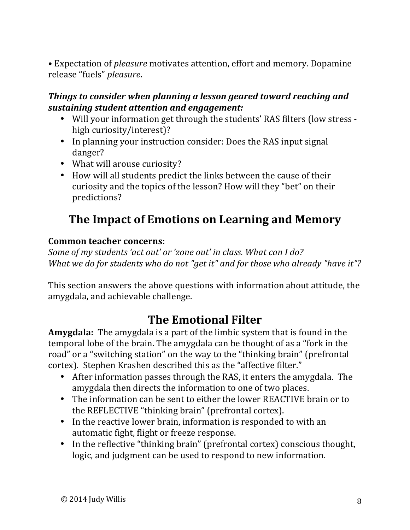• Expectation of *pleasure* motivates attention, effort and memory. Dopamine release "fuels" *pleasure*. 

#### *Things to consider when planning a lesson geared toward reaching and sustaining student attention and engagement:*

- Will your information get through the students' RAS filters (low stress high curiosity/interest)?
- In planning your instruction consider: Does the RAS input signal danger?
- What will arouse curiosity?
- How will all students predict the links between the cause of their curiosity and the topics of the lesson? How will they "bet" on their predictions?

# **The Impact of Emotions on Learning and Memory**

#### **Common teacher concerns:**

Some of my students 'act out' or 'zone out' in class. What can I do? *What* we do for students who do not "get it" and for those who already "have it"?

This section answers the above questions with information about attitude, the amygdala, and achievable challenge.

# **The Emotional Filter**

**Amygdala:** The amygdala is a part of the limbic system that is found in the temporal lobe of the brain. The amygdala can be thought of as a "fork in the road" or a "switching station" on the way to the "thinking brain" (prefrontal cortex). Stephen Krashen described this as the "affective filter."

- After information passes through the RAS, it enters the amygdala. The amygdala then directs the information to one of two places.
- The information can be sent to either the lower REACTIVE brain or to the REFLECTIVE "thinking brain" (prefrontal cortex).
- In the reactive lower brain, information is responded to with an automatic fight, flight or freeze response.
- In the reflective "thinking brain" (prefrontal cortex) conscious thought, logic, and judgment can be used to respond to new information.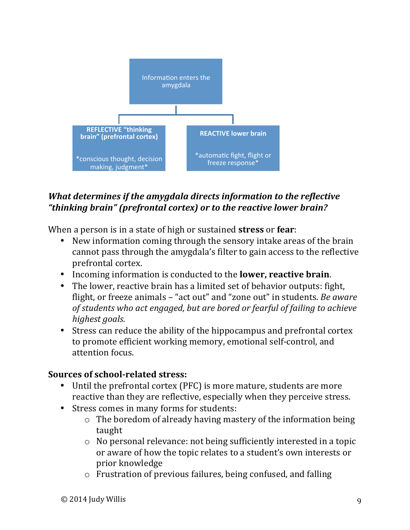

## *What determines if the amygdala directs information to the reflective* "thinking brain" (prefrontal cortex) or to the reactive lower brain?

When a person is in a state of high or sustained **stress** or **fear**:

- New information coming through the sensory intake areas of the brain cannot pass through the amygdala's filter to gain access to the reflective prefrontal cortex.
- Incoming information is conducted to the **lower, reactive brain**.
- The lower, reactive brain has a limited set of behavior outputs: fight, flight, or freeze animals – "act out" and "zone out" in students. *Be aware* of students who act engaged, but are bored or fearful of failing to achieve highest goals.
- Stress can reduce the ability of the hippocampus and prefrontal cortex to promote efficient working memory, emotional self-control, and attention focus.

## **Sources of school-related stress:**

- Until the prefrontal cortex (PFC) is more mature, students are more reactive than they are reflective, especially when they perceive stress.
- Stress comes in many forms for students:
	- $\circ$  The boredom of already having mastery of the information being taught
	- $\circ$  No personal relevance: not being sufficiently interested in a topic or aware of how the topic relates to a student's own interests or prior knowledge
	- $\circ$  Frustration of previous failures, being confused, and falling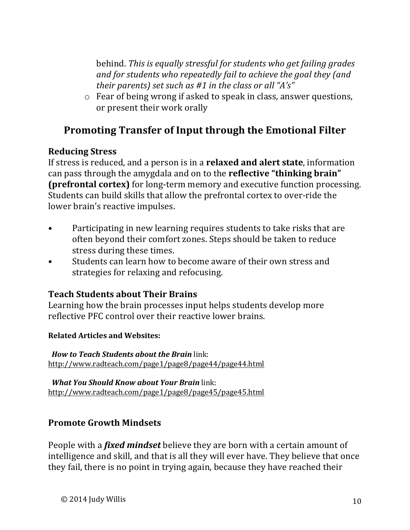behind. This is equally stressful for students who get failing grades and for students who repeatedly fail to achieve the goal they (and *their parents)* set such as #1 in the class or all "A's"

 $\circ$  Fear of being wrong if asked to speak in class, answer questions, or present their work orally

# **Promoting Transfer of Input through the Emotional Filter**

#### **Reducing Stress**

If stress is reduced, and a person is in a **relaxed and alert state**, information can pass through the amygdala and on to the **reflective** "thinking brain" **(prefrontal cortex)** for long-term memory and executive function processing. Students can build skills that allow the prefrontal cortex to over-ride the lower brain's reactive impulses.

- Participating in new learning requires students to take risks that are often beyond their comfort zones. Steps should be taken to reduce stress during these times.
- Students can learn how to become aware of their own stress and strategies for relaxing and refocusing.

## **Teach Students about Their Brains**

Learning how the brain processes input helps students develop more reflective PFC control over their reactive lower brains.

#### **Related Articles and Websites:**

*How to Teach Students about the Brain link:* http://www.radteach.com/page1/page8/page44/page44.html

*<i>What You Should Know about Your Brain* link: http://www.radteach.com/page1/page8/page45/page45.html

## **Promote Growth Mindsets**

People with a *fixed mindset* believe they are born with a certain amount of intelligence and skill, and that is all they will ever have. They believe that once they fail, there is no point in trying again, because they have reached their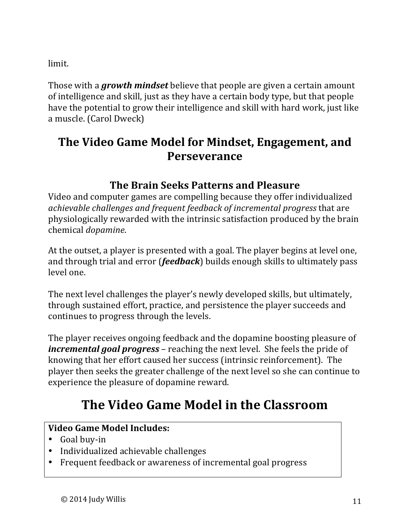limit. 

Those with a *growth mindset* believe that people are given a certain amount of intelligence and skill, just as they have a certain body type, but that people have the potential to grow their intelligence and skill with hard work, just like a muscle. (Carol Dweck)

# **The Video Game Model for Mindset, Engagement, and Perseverance**

# **The Brain Seeks Patterns and Pleasure**

Video and computer games are compelling because they offer individualized *achievable challenges and frequent feedback of incremental progress that are* physiologically rewarded with the intrinsic satisfaction produced by the brain chemical *dopamine*.

At the outset, a player is presented with a goal. The player begins at level one, and through trial and error (*feedback*) builds enough skills to ultimately pass level one.

The next level challenges the player's newly developed skills, but ultimately, through sustained effort, practice, and persistence the player succeeds and continues to progress through the levels.

The player receives ongoing feedback and the dopamine boosting pleasure of *incremental goal progress* – reaching the next level. She feels the pride of knowing that her effort caused her success (intrinsic reinforcement). The player then seeks the greater challenge of the next level so she can continue to experience the pleasure of dopamine reward.

# **The Video Game Model in the Classroom**

## **Video Game Model Includes:**

- Goal buy-in
- Individualized achievable challenges
- Frequent feedback or awareness of incremental goal progress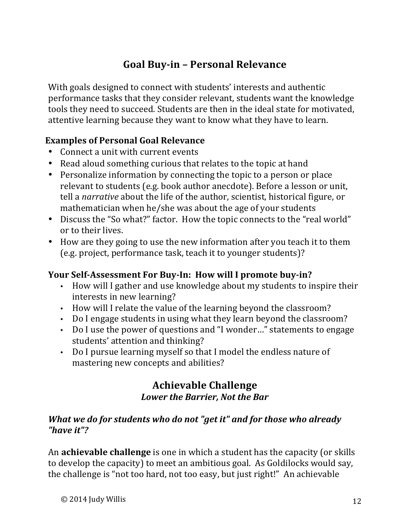# **Goal Buy-in – Personal Relevance**

With goals designed to connect with students' interests and authentic performance tasks that they consider relevant, students want the knowledge tools they need to succeed. Students are then in the ideal state for motivated, attentive learning because they want to know what they have to learn.

## **Examples of Personal Goal Relevance**

- Connect a unit with current events
- Read aloud something curious that relates to the topic at hand
- Personalize information by connecting the topic to a person or place relevant to students (e.g. book author anecdote). Before a lesson or unit, tell a *narrative* about the life of the author, scientist, historical figure, or mathematician when he/she was about the age of your students
- Discuss the "So what?" factor. How the topic connects to the "real world" or to their lives.
- How are they going to use the new information after you teach it to them (e.g. project, performance task, teach it to younger students)?

#### Your Self-Assessment For Buy-In: How will I promote buy-in?

- How will I gather and use knowledge about my students to inspire their interests in new learning?
- How will I relate the value of the learning beyond the classroom?
- Do I engage students in using what they learn beyond the classroom?
- Do I use the power of questions and "I wonder..." statements to engage students' attention and thinking?
- Do I pursue learning myself so that I model the endless nature of mastering new concepts and abilities?

## **Achievable Challenge** *Lower the Barrier, Not the Bar*

#### *What* we do for students who do not "get it" and for those who already *"have it"?*

An **achievable challenge** is one in which a student has the capacity (or skills to develop the capacity) to meet an ambitious goal. As Goldilocks would say, the challenge is "not too hard, not too easy, but just right!" An achievable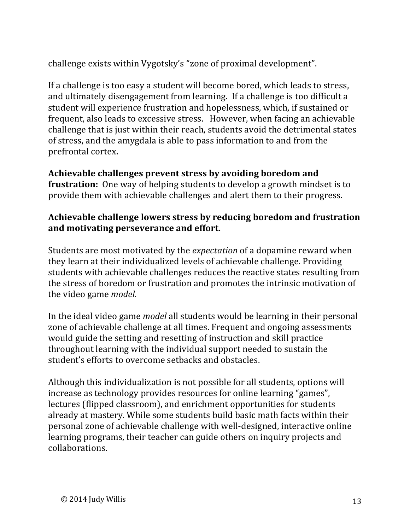challenge exists within Vygotsky's "zone of proximal development".

If a challenge is too easy a student will become bored, which leads to stress, and ultimately disengagement from learning. If a challenge is too difficult a student will experience frustration and hopelessness, which, if sustained or frequent, also leads to excessive stress. However, when facing an achievable challenge that is just within their reach, students avoid the detrimental states of stress, and the amygdala is able to pass information to and from the prefrontal cortex. 

## Achievable challenges prevent stress by avoiding boredom and

**frustration:** One way of helping students to develop a growth mindset is to provide them with achievable challenges and alert them to their progress.

#### **Achievable challenge lowers stress by reducing boredom and frustration** and motivating perseverance and effort.

Students are most motivated by the *expectation* of a dopamine reward when they learn at their individualized levels of achievable challenge. Providing students with achievable challenges reduces the reactive states resulting from the stress of boredom or frustration and promotes the intrinsic motivation of the video game *model*.

In the ideal video game *model* all students would be learning in their personal zone of achievable challenge at all times. Frequent and ongoing assessments would guide the setting and resetting of instruction and skill practice throughout learning with the individual support needed to sustain the student's efforts to overcome setbacks and obstacles.

Although this individualization is not possible for all students, options will increase as technology provides resources for online learning "games", lectures (flipped classroom), and enrichment opportunities for students already at mastery. While some students build basic math facts within their personal zone of achievable challenge with well-designed, interactive online learning programs, their teacher can guide others on inquiry projects and collaborations.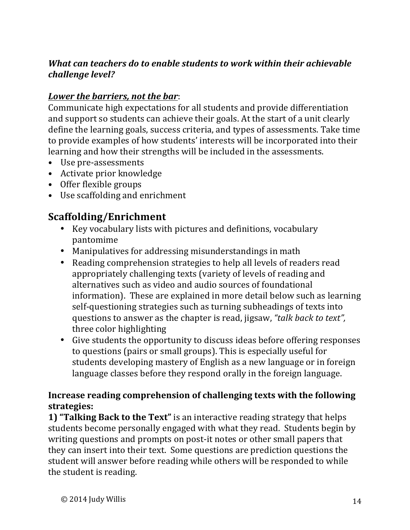## *What can teachers do to enable students to work within their achievable* challenge level?

## Lower the barriers, not the bar:

Communicate high expectations for all students and provide differentiation and support so students can achieve their goals. At the start of a unit clearly define the learning goals, success criteria, and types of assessments. Take time to provide examples of how students' interests will be incorporated into their learning and how their strengths will be included in the assessments.

- Use pre-assessments
- Activate prior knowledge
- Offer flexible groups
- Use scaffolding and enrichment

## **Scaffolding/Enrichment**

- Key vocabulary lists with pictures and definitions, vocabulary pantomime
- Manipulatives for addressing misunderstandings in math
- Reading comprehension strategies to help all levels of readers read appropriately challenging texts (variety of levels of reading and alternatives such as video and audio sources of foundational information). These are explained in more detail below such as learning self-questioning strategies such as turning subheadings of texts into questions to answer as the chapter is read, jigsaw, "talk back to text", three color highlighting
- Give students the opportunity to discuss ideas before offering responses to questions (pairs or small groups). This is especially useful for students developing mastery of English as a new language or in foreign language classes before they respond orally in the foreign language.

#### **Increase reading comprehension of challenging texts with the following strategies:**

**1) "Talking Back to the Text"** is an interactive reading strategy that helps students become personally engaged with what they read. Students begin by writing questions and prompts on post-it notes or other small papers that they can insert into their text. Some questions are prediction questions the student will answer before reading while others will be responded to while the student is reading.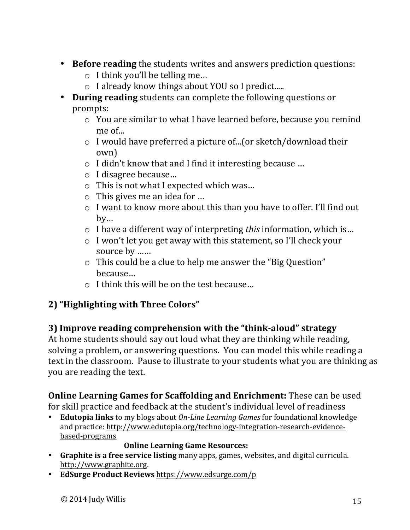- Before reading the students writes and answers prediction questions:
	- $\circ$  I think you'll be telling me...
	- o I already know things about YOU so I predict.....
- **During reading** students can complete the following questions or prompts:
	- $\circ$  You are similar to what I have learned before, because you remind me of...
	- $\circ$  I would have preferred a picture of...(or sketch/download their own)
	- $\circ$  I didn't know that and I find it interesting because ...
	- o I disagree because…
	- $\circ$  This is not what I expected which was...
	- $\circ$  This gives me an idea for ...
	- $\circ$  I want to know more about this than you have to offer. I'll find out by…
	- o I have a different way of interpreting *this* information, which is...
	- $\circ$  I won't let you get away with this statement, so I'll check your source by ……
	- $\circ$  This could be a clue to help me answer the "Big Question" because…
	- $\circ$  I think this will be on the test because...

# **2) "Highlighting with Three Colors"**

# **3) Improve reading comprehension with the "think-aloud" strategy**

At home students should say out loud what they are thinking while reading, solving a problem, or answering questions. You can model this while reading a text in the classroom. Pause to illustrate to your students what you are thinking as you are reading the text.

# **Online Learning Games for Scaffolding and Enrichment:** These can be used

for skill practice and feedback at the student's individual level of readiness

**Edutopia links** to my blogs about *On-Line Learning Games* for foundational knowledge and practice: http://www.edutopia.org/technology-integration-research-evidencebased-programs

#### **Online Learning Game Resources:**

- Graphite is a free service listing many apps, games, websites, and digital curricula. http://www.graphite.org.
- EdSurge Product Reviews https://www.edsurge.com/p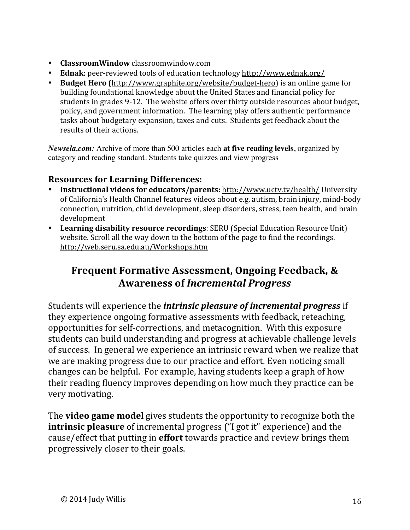- **ClassroomWindow** classroomwindow.com
- Ednak: peer-reviewed tools of education technology http://www.ednak.org/
- **Budget Hero** (http://www.graphite.org/website/budget-hero) is an online game for building foundational knowledge about the United States and financial policy for students in grades 9-12. The website offers over thirty outside resources about budget, policy, and government information. The learning play offers authentic performance tasks about budgetary expansion, taxes and cuts. Students get feedback about the results of their actions.

*Newsela.com:* Archive of more than 500 articles each **at five reading levels**, organized by category and reading standard. Students take quizzes and view progress

## **Resources for Learning Differences:**

- **Instructional videos for educators/parents:** http://www.uctv.tv/health/ University of California's Health Channel features videos about e.g. autism, brain injury, mind-body connection, nutrition, child development, sleep disorders, stress, teen health, and brain development
- Learning disability resource recordings: SERU (Special Education Resource Unit) website. Scroll all the way down to the bottom of the page to find the recordings. http://web.seru.sa.edu.au/Workshops.htm

# **Frequent Formative Assessment, Ongoing Feedback, & Awareness of** *Incremental Progress*

Students will experience the *intrinsic pleasure of incremental progress* if they experience ongoing formative assessments with feedback, reteaching, opportunities for self-corrections, and metacognition. With this exposure students can build understanding and progress at achievable challenge levels of success. In general we experience an intrinsic reward when we realize that we are making progress due to our practice and effort. Even noticing small changes can be helpful. For example, having students keep a graph of how their reading fluency improves depending on how much they practice can be very motivating.

The **video game model** gives students the opportunity to recognize both the **intrinsic pleasure** of incremental progress ("I got it" experience) and the cause/effect that putting in **effort** towards practice and review brings them progressively closer to their goals.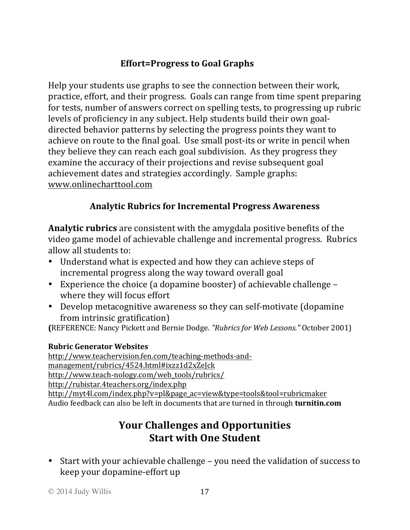# **Effort=Progress to Goal Graphs**

Help your students use graphs to see the connection between their work, practice, effort, and their progress. Goals can range from time spent preparing for tests, number of answers correct on spelling tests, to progressing up rubric levels of proficiency in any subject. Help students build their own goaldirected behavior patterns by selecting the progress points they want to achieve on route to the final goal. Use small post-its or write in pencil when they believe they can reach each goal subdivision. As they progress they examine the accuracy of their projections and revise subsequent goal achievement dates and strategies accordingly. Sample graphs: www.onlinecharttool.com

## **Analytic Rubrics for Incremental Progress Awareness**

**Analytic rubrics** are consistent with the amygdala positive benefits of the video game model of achievable challenge and incremental progress. Rubrics allow all students to:

- Understand what is expected and how they can achieve steps of incremental progress along the way toward overall goal
- Experience the choice (a dopamine booster) of achievable challenge where they will focus effort
- Develop metacognitive awareness so they can self-motivate (dopamine from intrinsic gratification)

**(**REFERENCE: Nancy Pickett and Bernie Dodge. *"Rubrics for Web Lessons."* October 2001) 

#### **Rubric Generator Websites**

http://www.teachervision.fen.com/teaching-methods-andmanagement/rubrics/4524.html#ixzz1d2xZeJck http://www.teach-nology.com/web\_tools/rubrics/ http://rubistar.4teachers.org/index.php

http://myt4l.com/index.php?v=pl&page\_ac=view&type=tools&tool=rubricmaker Audio feedback can also be left in documents that are turned in through **turnitin.com** 

# **Your Challenges and Opportunities Start with One Student**

• Start with your achievable challenge – you need the validation of success to keep your dopamine-effort up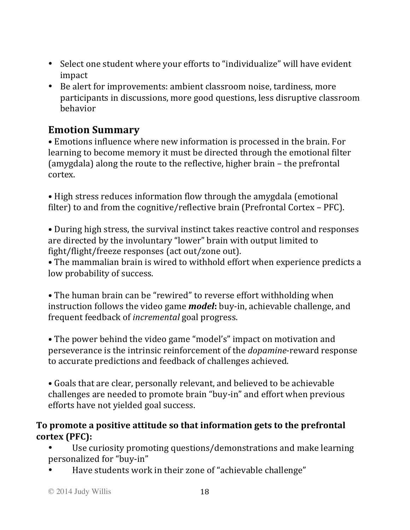- Select one student where your efforts to "individualize" will have evident impact
- Be alert for improvements: ambient classroom noise, tardiness, more participants in discussions, more good questions, less disruptive classroom behavior

# **Emotion Summary**

• Emotions influence where new information is processed in the brain. For learning to become memory it must be directed through the emotional filter (amygdala) along the route to the reflective, higher brain  $-$  the prefrontal cortex.

• High stress reduces information flow through the amygdala (emotional filter) to and from the cognitive/reflective brain (Prefrontal Cortex – PFC).

• During high stress, the survival instinct takes reactive control and responses are directed by the involuntary "lower" brain with output limited to fight/flight/freeze responses (act out/zone out).

• The mammalian brain is wired to withhold effort when experience predicts a low probability of success.

• The human brain can be "rewired" to reverse effort withholding when instruction follows the video game *model*: buy-in, achievable challenge, and frequent feedback of *incremental* goal progress.

• The power behind the video game "model's" impact on motivation and perseverance is the intrinsic reinforcement of the *dopamine*-reward response to accurate predictions and feedback of challenges achieved.

• Goals that are clear, personally relevant, and believed to be achievable challenges are needed to promote brain "buy-in" and effort when previous efforts have not yielded goal success.

#### To promote a positive attitude so that information gets to the prefrontal **cortex (PFC):**

Use curiosity promoting questions/demonstrations and make learning personalized for "buy-in"

Have students work in their zone of "achievable challenge"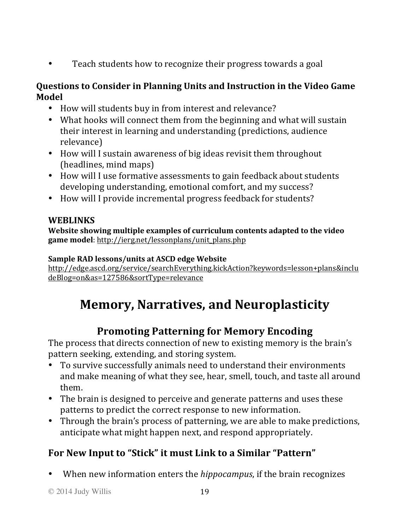• Teach students how to recognize their progress towards a goal

#### **Questions to Consider in Planning Units and Instruction in the Video Game Model**

- How will students buy in from interest and relevance?
- What hooks will connect them from the beginning and what will sustain their interest in learning and understanding (predictions, audience relevance)
- How will I sustain awareness of big ideas revisit them throughout (headlines, mind maps)
- How will I use formative assessments to gain feedback about students developing understanding, emotional comfort, and my success?
- How will I provide incremental progress feedback for students?

## **WEBLINKS**

**Website showing multiple examples of curriculum contents adapted to the video** game model: http://ierg.net/lessonplans/unit\_plans.php

#### Sample RAD lessons/units at ASCD edge Website

http://edge.ascd.org/service/searchEverything.kickAction?keywords=lesson+plans&inclu deBlog=on&as=127586&sortType=relevance

# **Memory, Narratives, and Neuroplasticity**

# **Promoting Patterning for Memory Encoding**

The process that directs connection of new to existing memory is the brain's pattern seeking, extending, and storing system.

- To survive successfully animals need to understand their environments and make meaning of what they see, hear, smell, touch, and taste all around them.
- The brain is designed to perceive and generate patterns and uses these patterns to predict the correct response to new information.
- Through the brain's process of patterning, we are able to make predictions, anticipate what might happen next, and respond appropriately.

# **For New Input to "Stick" it must Link to a Similar "Pattern"**

When new information enters the *hippocampus*, if the brain recognizes

© 2014 Judy Willis 19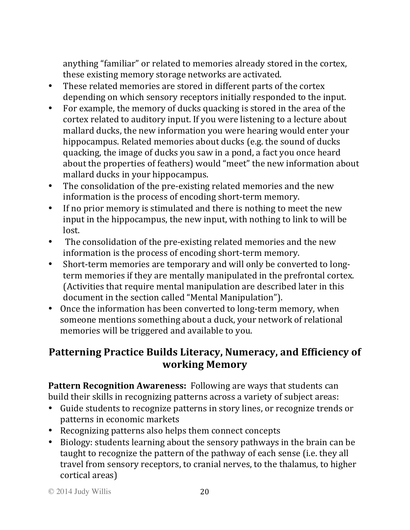anything "familiar" or related to memories already stored in the cortex, these existing memory storage networks are activated.

- These related memories are stored in different parts of the cortex depending on which sensory receptors initially responded to the input.
- For example, the memory of ducks quacking is stored in the area of the cortex related to auditory input. If you were listening to a lecture about mallard ducks, the new information you were hearing would enter your hippocampus. Related memories about ducks (e.g. the sound of ducks quacking, the image of ducks you saw in a pond, a fact you once heard about the properties of feathers) would "meet" the new information about mallard ducks in your hippocampus.
- The consolidation of the pre-existing related memories and the new information is the process of encoding short-term memory.
- If no prior memory is stimulated and there is nothing to meet the new input in the hippocampus, the new input, with nothing to link to will be lost.
- The consolidation of the pre-existing related memories and the new information is the process of encoding short-term memory.
- Short-term memories are temporary and will only be converted to longterm memories if they are mentally manipulated in the prefrontal cortex. (Activities that require mental manipulation are described later in this document in the section called "Mental Manipulation").
- Once the information has been converted to long-term memory, when someone mentions something about a duck, your network of relational memories will be triggered and available to you.

# Patterning Practice Builds Literacy, Numeracy, and Efficiency of **working Memory**

**Pattern Recognition Awareness:** Following are ways that students can build their skills in recognizing patterns across a variety of subject areas:

- Guide students to recognize patterns in story lines, or recognize trends or patterns in economic markets
- Recognizing patterns also helps them connect concepts
- Biology: students learning about the sensory pathways in the brain can be taught to recognize the pattern of the pathway of each sense (i.e. they all travel from sensory receptors, to cranial nerves, to the thalamus, to higher cortical areas)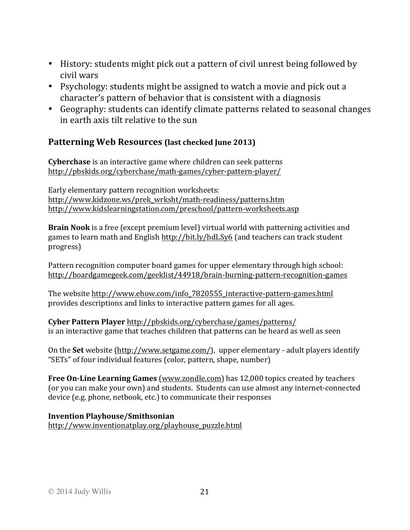- History: students might pick out a pattern of civil unrest being followed by civil wars
- Psychology: students might be assigned to watch a movie and pick out a character's pattern of behavior that is consistent with a diagnosis
- Geography: students can identify climate patterns related to seasonal changes in earth axis tilt relative to the sun

#### **Patterning Web Resources (last checked June 2013)**

**Cyberchase** is an interactive game where children can seek patterns http://pbskids.org/cyberchase/math-games/cyber-pattern-player/

Early elementary pattern recognition worksheets: http://www.kidzone.ws/prek\_wrksht/math-readiness/patterns.htm http://www.kidslearningstation.com/preschool/pattern-worksheets.asp

**Brain Nook** is a free (except premium level) virtual world with patterning activities and games to learn math and English http://bit.ly/hdLSy6 (and teachers can track student progress)

Pattern recognition computer board games for upper elementary through high school: http://boardgamegeek.com/geeklist/44918/brain-burning-pattern-recognition-games

The website http://www.ehow.com/info\_7820555\_interactive-pattern-games.html provides descriptions and links to interactive pattern games for all ages.

**Cyber Pattern Player** http://pbskids.org/cyberchase/games/patterns/ is an interactive game that teaches children that patterns can be heard as well as seen

On the **Set** website (http://www.setgame.com/), upper elementary - adult players identify "SETs" of four individual features (color, pattern, shape, number)

**Free On-Line Learning Games** (www.zondle.com) has 12,000 topics created by teachers (or you can make your own) and students. Students can use almost any internet-connected device (e.g. phone, netbook, etc.) to communicate their responses

#### **Invention Playhouse/Smithsonian**

http://www.inventionatplay.org/playhouse\_puzzle.html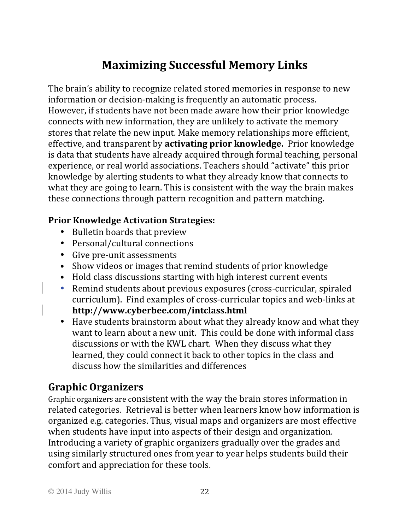# **Maximizing Successful Memory Links**

The brain's ability to recognize related stored memories in response to new information or decision-making is frequently an automatic process. However, if students have not been made aware how their prior knowledge connects with new information, they are unlikely to activate the memory stores that relate the new input. Make memory relationships more efficient, effective, and transparent by **activating prior knowledge**. Prior knowledge is data that students have already acquired through formal teaching, personal experience, or real world associations. Teachers should "activate" this prior knowledge by alerting students to what they already know that connects to what they are going to learn. This is consistent with the way the brain makes these connections through pattern recognition and pattern matching.

## **Prior Knowledge Activation Strategies:**

- Bulletin boards that preview
- Personal/cultural connections
- Give pre-unit assessments
- Show videos or images that remind students of prior knowledge
- Hold class discussions starting with high interest current events
- Remind students about previous exposures (cross-curricular, spiraled curriculum). Find examples of cross-curricular topics and web-links at **http://www.cyberbee.com/intclass.html**
- Have students brainstorm about what they already know and what they want to learn about a new unit. This could be done with informal class discussions or with the KWL chart. When they discuss what they learned, they could connect it back to other topics in the class and discuss how the similarities and differences

# **Graphic Organizers**

Graphic organizers are consistent with the way the brain stores information in related categories. Retrieval is better when learners know how information is organized e.g. categories. Thus, visual maps and organizers are most effective when students have input into aspects of their design and organization. Introducing a variety of graphic organizers gradually over the grades and using similarly structured ones from year to year helps students build their comfort and appreciation for these tools.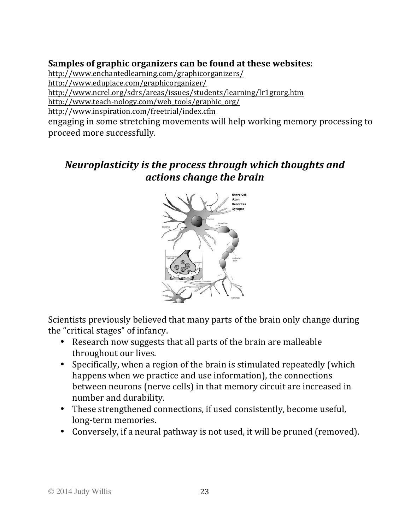#### **Samples of graphic organizers can be found at these websites:**

http://www.enchantedlearning.com/graphicorganizers/ http://www.eduplace.com/graphicorganizer/

http://www.ncrel.org/sdrs/areas/issues/students/learning/lr1grorg.htm

http://www.teach-nology.com/web\_tools/graphic\_org/

http://www.inspiration.com/freetrial/index.cfm

engaging in some stretching movements will help working memory processing to proceed more successfully.

# *Neuroplasticity is the process through which thoughts and actions change the brain*



Scientists previously believed that many parts of the brain only change during the "critical stages" of infancy.

- Research now suggests that all parts of the brain are malleable throughout our lives.
- Specifically, when a region of the brain is stimulated repeatedly (which happens when we practice and use information), the connections between neurons (nerve cells) in that memory circuit are increased in number and durability.
- These strengthened connections, if used consistently, become useful, long-term memories.
- Conversely, if a neural pathway is not used, it will be pruned (removed).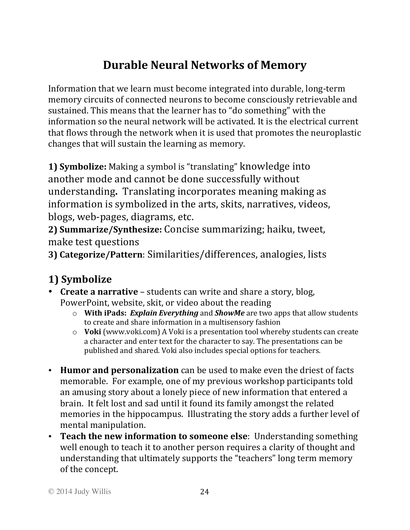# **Durable Neural Networks of Memory**

Information that we learn must become integrated into durable, long-term memory circuits of connected neurons to become consciously retrievable and sustained. This means that the learner has to "do something" with the information so the neural network will be activated. It is the electrical current that flows through the network when it is used that promotes the neuroplastic changes that will sustain the learning as memory.

**1) Symbolize:** Making a symbol is "translating" knowledge into another mode and cannot be done successfully without understanding. Translating incorporates meaning making as information is symbolized in the arts, skits, narratives, videos, blogs, web-pages, diagrams, etc.

2) **Summarize/Synthesize:** Concise summarizing; haiku, tweet, make test questions

**3) Categorize/Pattern**: Similarities/differences, analogies, lists

# **1) Symbolize**

- **Create a narrative** students can write and share a story, blog, PowerPoint, website, skit, or video about the reading
	- o **With iPads: Explain Everything** and **ShowMe** are two apps that allow students to create and share information in a multisensory fashion
	- o **Voki** (www.voki.com) A Voki is a presentation tool whereby students can create a character and enter text for the character to say. The presentations can be published and shared. Voki also includes special options for teachers.
- Humor and personalization can be used to make even the driest of facts memorable. For example, one of my previous workshop participants told an amusing story about a lonely piece of new information that entered a brain. It felt lost and sad until it found its family amongst the related memories in the hippocampus. Illustrating the story adds a further level of mental manipulation.
- **Teach the new information to someone else**: Understanding something well enough to teach it to another person requires a clarity of thought and understanding that ultimately supports the "teachers" long term memory of the concept.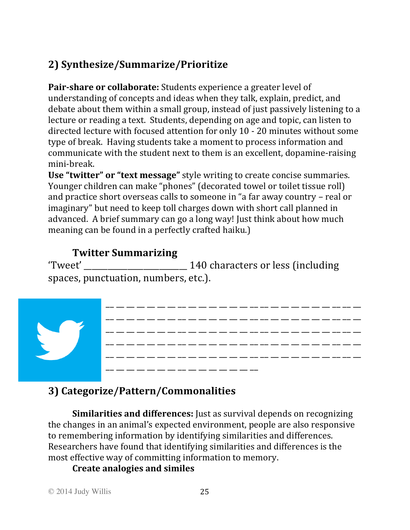# **2) Synthesize/Summarize/Prioritize**

**Pair-share or collaborate:** Students experience a greater level of understanding of concepts and ideas when they talk, explain, predict, and debate about them within a small group, instead of just passively listening to a lecture or reading a text. Students, depending on age and topic, can listen to directed lecture with focused attention for only 10 - 20 minutes without some type of break. Having students take a moment to process information and communicate with the student next to them is an excellent, dopamine-raising mini-break. 

**Use "twitter" or "text message"** style writing to create concise summaries. Younger children can make "phones" (decorated towel or toilet tissue roll) and practice short overseas calls to someone in "a far away country - real or imaginary" but need to keep toll charges down with short call planned in advanced. A brief summary can go a long way! Just think about how much meaning can be found in a perfectly crafted haiku.)

# **Twitter Summarizing**

Tweet' 140 characters or less (including spaces, punctuation, numbers, etc.).



# **3) Categorize/Pattern/Commonalities**

**Similarities and differences:** Just as survival depends on recognizing the changes in an animal's expected environment, people are also responsive to remembering information by identifying similarities and differences. Researchers have found that identifying similarities and differences is the most effective way of committing information to memory.

## **Create analogies and similes**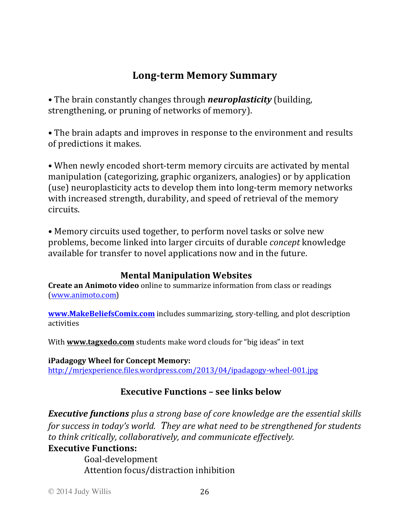# **Long-term Memory Summary**

• The brain constantly changes through *neuroplasticity* (building, strengthening, or pruning of networks of memory).

• The brain adapts and improves in response to the environment and results of predictions it makes.

• When newly encoded short-term memory circuits are activated by mental manipulation (categorizing, graphic organizers, analogies) or by application (use) neuroplasticity acts to develop them into long-term memory networks with increased strength, durability, and speed of retrieval of the memory circuits.

• Memory circuits used together, to perform novel tasks or solve new problems, become linked into larger circuits of durable *concept* knowledge available for transfer to novel applications now and in the future.

#### **Mental Manipulation Websites**

**Create an Animoto video** online to summarize information from class or readings (www.animoto.com) 

**www.MakeBeliefsComix.com** includes summarizing, story-telling, and plot description activities

With **www.tagxedo.com** students make word clouds for "big ideas" in text

**iPadagogy Wheel for Concept Memory:** http://mrjexperience.files.wordpress.com/2013/04/ipadagogy-wheel-001.jpg

## **Executive Functions – see links below**

*Executive functions* plus a strong base of core knowledge are the essential skills *for success in today's world. They are what need to be strengthened for students* to think critically, collaboratively, and communicate effectively.

#### **Executive Functions:**

Goal-development Attention focus/distraction inhibition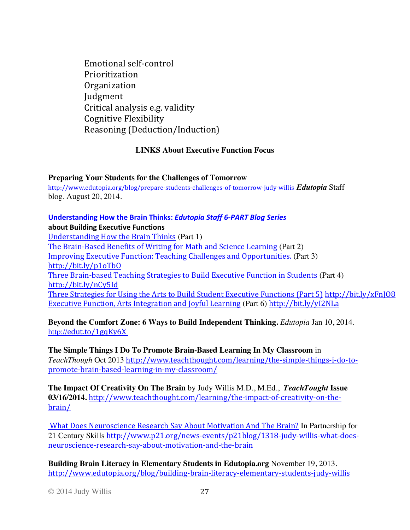Emotional self-control Prioritization Organization Judgment Critical analysis e.g. validity Cognitive Flexibility Reasoning (Deduction/Induction)

#### **LINKS About Executive Function Focus**

**Preparing Your Students for the Challenges of Tomorrow**

http://www.edutopia.org/blog/prepare-students-challenges-of-tomorrow-judy-willis *Edutopia* Staff blog. August 20, 2014.

#### **Understanding How the Brain Thinks: Edutopia Staff 6-PART Blog Series**

**about Building Executive Functions** 

Understanding How the Brain Thinks (Part 1) The Brain-Based Benefits of Writing for Math and Science Learning (Part 2) Improving Executive Function: Teaching Challenges and Opportunities. (Part 3) http://bit.ly/p1oTbO Three Brain-based Teaching Strategies to Build Executive Function in Students (Part 4) http://bit.ly/nCy5Id Three Strategies for Using the Arts to Build Student Executive Functions (Part 5) http://bit.ly/xFnJ08 Executive Function, Arts Integration and Joyful Learning (Part 6) http://bit.ly/yI2NLa

**Beyond the Comfort Zone: 6 Ways to Build Independent Thinking.** *Edutopia* Jan 10, 2014. http://edut.to/1gqKy6X

**The Simple Things I Do To Promote Brain-Based Learning In My Classroom** in *TeachThough* Oct 2013 http://www.teachthought.com/learning/the-simple-things-i-do-topromote-brain-based-learning-in-my-classroom/

**The Impact Of Creativity On The Brain** by Judy Willis M.D., M.Ed.,*TeachTought* **Issue 03/16/2014.** http://www.teachthought.com/learning/the-impact-of-creativity-on-thebrain/

What Does Neuroscience Research Say About Motivation And The Brain? In Partnership for 21 Century Skills http://www.p21.org/news-events/p21blog/1318-judy-willis-what-doesneuroscience-research-say-about-motivation-and-the-brain

**Building Brain Literacy in Elementary Students in Edutopia.org** November 19, 2013. http://www.edutopia.org/blog/building-brain-literacy-elementary-students-judy-willis

© 2014 Judy Willis 27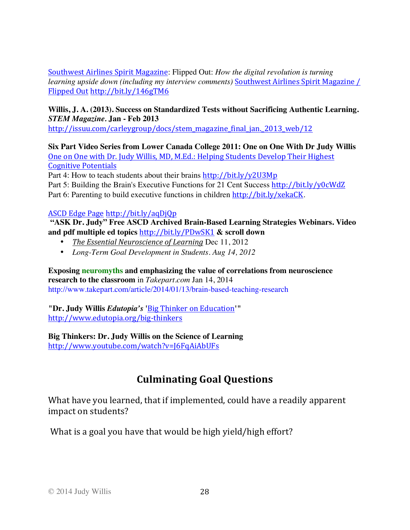Southwest Airlines Spirit Magazine: Flipped Out: *How the digital revolution is turning learning upside down (including my interview comments)* Southwest Airlines Spirit Magazine / Flipped Out http://bit.ly/146gTM6

#### **Willis, J. A. (2013). Success on Standardized Tests without Sacrificing Authentic Learning.**  *STEM Magazine.* **Jan - Feb 2013**

http://issuu.com/carleygroup/docs/stem\_magazine\_final\_jan.\_2013\_web/12

**Six Part Video Series from Lower Canada College 2011: One on One With Dr Judy Willis** One on One with Dr. Judy Willis, MD, M.Ed.: Helping Students Develop Their Highest **Cognitive Potentials** 

Part 4: How to teach students about their brains http://bit.ly/y2U3Mp

Part 5: Building the Brain's Executive Functions for 21 Cent Success http://bit.ly/y0cWdZ Part 6: Parenting to build executive functions in children http://bit.ly/xekaCK.

#### ASCD Edge Page http://bit.ly/aqDjQp

**"ASK Dr. Judy" Free ASCD Archived Brain-Based Learning Strategies Webinars. Video and pdf multiple ed topics** http://bit.ly/PDwSK1 **& scroll down**

- *The Essential Neuroscience of Learning* Dec 11, 2012
- *Long-Term Goal Development in Students. Aug 14, 2012*

**Exposing neuromyths and emphasizing the value of correlations from neuroscience research to the classroom** in *Takepart.com* Jan 14, 2014 http://www.takepart.com/article/2014/01/13/brain-based-teaching-research

**"Dr. Judy Willis** *Edutopia's* **'**Big Thinker on Education**'"** http://www.edutopia.org/big-thinkers

#### **Big Thinkers: Dr. Judy Willis on the Science of Learning**

http://www.youtube.com/watch?v=J6FqAiAbUFs

# **Culminating Goal Questions**

What have you learned, that if implemented, could have a readily apparent impact on students?

What is a goal you have that would be high yield/high effort?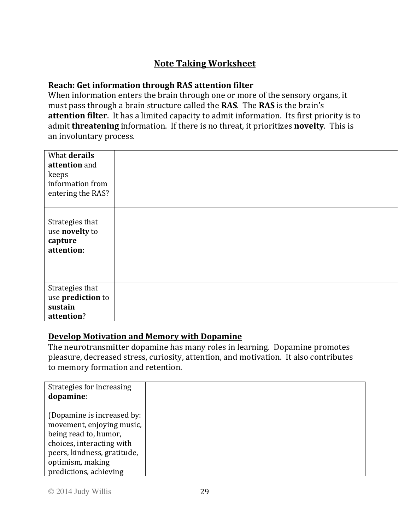## **Note Taking Worksheet**

#### **Reach: Get information through RAS attention filter**

When information enters the brain through one or more of the sensory organs, it must pass through a brain structure called the **RAS**. The **RAS** is the brain's **attention filter**. It has a limited capacity to admit information. Its first priority is to admit **threatening** information. If there is no threat, it prioritizes **novelty**. This is an involuntary process.

| What derails<br>attention and<br>keeps<br>information from<br>entering the RAS? |  |
|---------------------------------------------------------------------------------|--|
| Strategies that<br>use novelty to<br>capture<br>attention:                      |  |
| Strategies that<br>use prediction to<br>sustain<br>attention?                   |  |

#### **Develop Motivation and Memory with Dopamine**

The neurotransmitter dopamine has many roles in learning. Dopamine promotes pleasure, decreased stress, curiosity, attention, and motivation. It also contributes to memory formation and retention.

| Strategies for increasing<br>dopamine: |
|----------------------------------------|
|                                        |
| (Dopamine is increased by:             |
| movement, enjoying music,              |
| being read to, humor,                  |
| choices, interacting with              |
| peers, kindness, gratitude,            |
| optimism, making                       |
| predictions, achieving                 |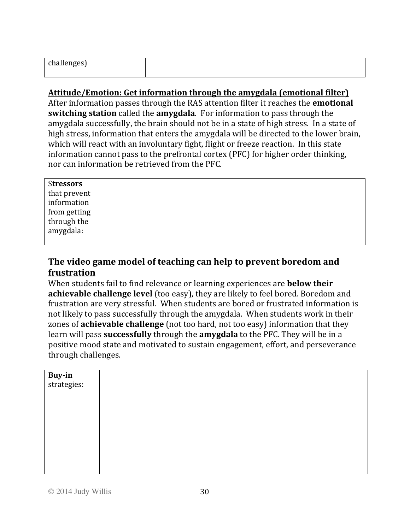| $\sim$<br>challenges) |  |
|-----------------------|--|
|                       |  |

#### Attitude/Emotion: Get information through the amygdala (emotional filter)

After information passes through the RAS attention filter it reaches the **emotional switching station** called the **amygdala**. For information to pass through the amygdala successfully, the brain should not be in a state of high stress. In a state of high stress, information that enters the amygdala will be directed to the lower brain, which will react with an involuntary fight, flight or freeze reaction. In this state information cannot pass to the prefrontal cortex (PFC) for higher order thinking, nor can information be retrieved from the PFC.

| <b>Stressors</b> |
|------------------|
| that prevent     |
| information      |
| from getting     |
| through the      |
| amygdala:        |
|                  |

#### The video game model of teaching can help to prevent boredom and **frustration**

When students fail to find relevance or learning experiences are **below their achievable challenge level** (too easy), they are likely to feel bored. Boredom and frustration are very stressful. When students are bored or frustrated information is not likely to pass successfully through the amygdala. When students work in their zones of **achievable challenge** (not too hard, not too easy) information that they learn will pass **successfully** through the **amygdala** to the PFC. They will be in a positive mood state and motivated to sustain engagement, effort, and perseverance through challenges.

| Buy-in<br>strategies: |  |
|-----------------------|--|
|                       |  |
|                       |  |
|                       |  |
|                       |  |
|                       |  |
|                       |  |
|                       |  |
|                       |  |
|                       |  |
|                       |  |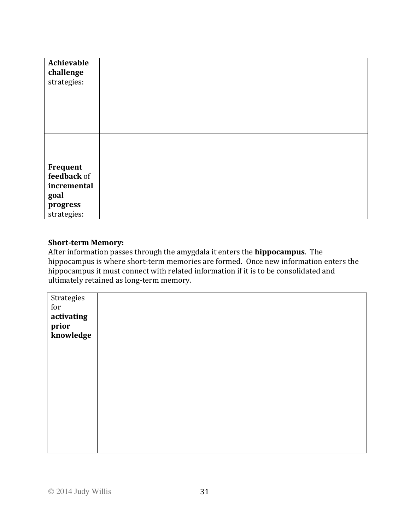| Achievable<br>challenge<br>strategies:                                    |  |
|---------------------------------------------------------------------------|--|
|                                                                           |  |
| Frequent<br>feedback of<br>incremental<br>goal<br>progress<br>strategies: |  |

#### **Short-term Memory:**

After information passes through the amygdala it enters the **hippocampus**. The hippocampus is where short-term memories are formed. Once new information enters the hippocampus it must connect with related information if it is to be consolidated and ultimately retained as long-term memory.

| Strategies           |  |
|----------------------|--|
| $\operatorname{for}$ |  |
| activating           |  |
| prior                |  |
| knowledge            |  |
|                      |  |
|                      |  |
|                      |  |
|                      |  |
|                      |  |
|                      |  |
|                      |  |
|                      |  |
|                      |  |
|                      |  |
|                      |  |
|                      |  |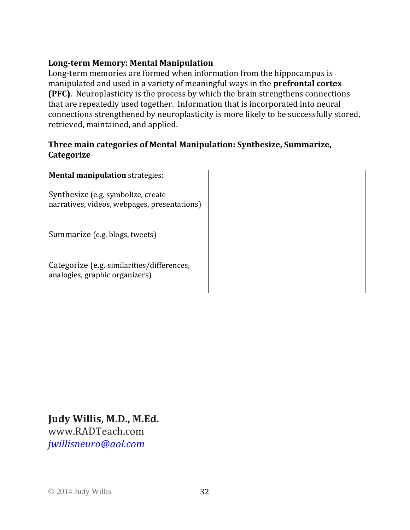#### **Long-term Memory: Mental Manipulation**

Long-term memories are formed when information from the hippocampus is manipulated and used in a variety of meaningful ways in the **prefrontal cortex (PFC)**. Neuroplasticity is the process by which the brain strengthens connections that are repeatedly used together. Information that is incorporated into neural connections strengthened by neuroplasticity is more likely to be successfully stored, retrieved, maintained, and applied.

#### **Three main categories of Mental Manipulation: Synthesize, Summarize, Categorize**

| <b>Mental manipulation strategies:</b>                                             |  |
|------------------------------------------------------------------------------------|--|
| Synthesize (e.g. symbolize, create<br>narratives, videos, webpages, presentations) |  |
| Summarize (e.g. blogs, tweets)                                                     |  |
| Categorize (e.g. similarities/differences,<br>analogies, graphic organizers)       |  |

**Judy Willis, M.D., M.Ed.** www.RADTeach.com *jwillisneuro@aol.com*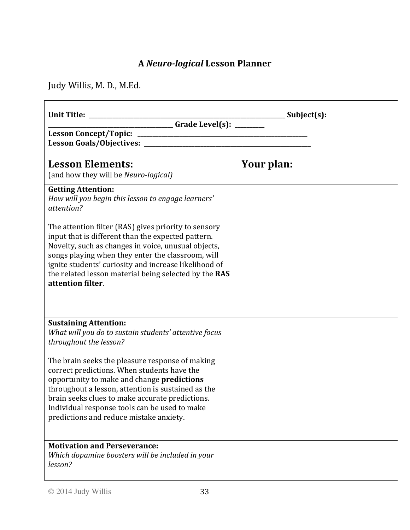# **A** *Neuro-logical* **Lesson Planner**

Judy Willis, M. D., M.Ed.

| Unit Title: _                                                                                                                                                                                                                                                                                                                                                 | Subject(s): |
|---------------------------------------------------------------------------------------------------------------------------------------------------------------------------------------------------------------------------------------------------------------------------------------------------------------------------------------------------------------|-------------|
| <u>Crade Level(s): _______</u><br>Lesson Goals/Objectives: _                                                                                                                                                                                                                                                                                                  |             |
| <b>Lesson Elements:</b><br>(and how they will be Neuro-logical)                                                                                                                                                                                                                                                                                               | Your plan:  |
| <b>Getting Attention:</b><br>How will you begin this lesson to engage learners'<br>attention?                                                                                                                                                                                                                                                                 |             |
| The attention filter (RAS) gives priority to sensory<br>input that is different than the expected pattern.<br>Novelty, such as changes in voice, unusual objects,<br>songs playing when they enter the classroom, will<br>ignite students' curiosity and increase likelihood of<br>the related lesson material being selected by the RAS<br>attention filter. |             |
|                                                                                                                                                                                                                                                                                                                                                               |             |
| <b>Sustaining Attention:</b><br>What will you do to sustain students' attentive focus<br>throughout the lesson?                                                                                                                                                                                                                                               |             |
| The brain seeks the pleasure response of making<br>correct predictions. When students have the<br>opportunity to make and change predictions<br>throughout a lesson, attention is sustained as the<br>brain seeks clues to make accurate predictions.<br>Individual response tools can be used to make<br>predictions and reduce mistake anxiety.             |             |
| <b>Motivation and Perseverance:</b><br>Which dopamine boosters will be included in your<br>lesson?                                                                                                                                                                                                                                                            |             |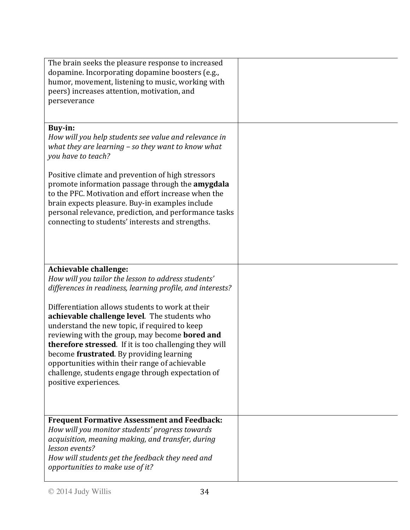| The brain seeks the pleasure response to increased<br>dopamine. Incorporating dopamine boosters (e.g.,<br>humor, movement, listening to music, working with<br>peers) increases attention, motivation, and<br>perseverance                                                                                                                                                                                                                       |  |
|--------------------------------------------------------------------------------------------------------------------------------------------------------------------------------------------------------------------------------------------------------------------------------------------------------------------------------------------------------------------------------------------------------------------------------------------------|--|
| <b>Buy-in:</b>                                                                                                                                                                                                                                                                                                                                                                                                                                   |  |
| How will you help students see value and relevance in<br>what they are learning $-$ so they want to know what<br>you have to teach?                                                                                                                                                                                                                                                                                                              |  |
| Positive climate and prevention of high stressors<br>promote information passage through the amygdala<br>to the PFC. Motivation and effort increase when the<br>brain expects pleasure. Buy-in examples include<br>personal relevance, prediction, and performance tasks<br>connecting to students' interests and strengths.                                                                                                                     |  |
|                                                                                                                                                                                                                                                                                                                                                                                                                                                  |  |
| <b>Achievable challenge:</b><br>How will you tailor the lesson to address students'<br>differences in readiness, learning profile, and interests?                                                                                                                                                                                                                                                                                                |  |
| Differentiation allows students to work at their<br>achievable challenge level. The students who<br>understand the new topic, if required to keep<br>reviewing with the group, may become <b>bored and</b><br>therefore stressed. If it is too challenging they will<br>become frustrated. By providing learning<br>opportunities within their range of achievable<br>challenge, students engage through expectation of<br>positive experiences. |  |
| <b>Frequent Formative Assessment and Feedback:</b><br>How will you monitor students' progress towards<br>acquisition, meaning making, and transfer, during<br>lesson events?<br>How will students get the feedback they need and<br>opportunities to make use of it?                                                                                                                                                                             |  |